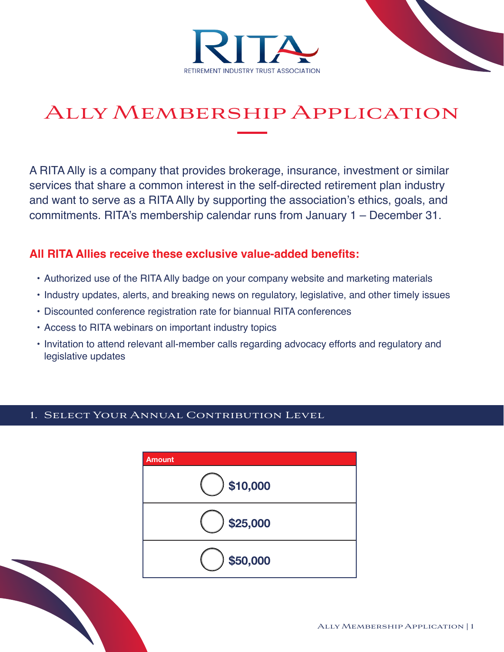



# Ally Membership Application

A RITA Ally is a company that provides brokerage, insurance, investment or similar services that share a common interest in the self-directed retirement plan industry and want to serve as a RITA Ally by supporting the association's ethics, goals, and commitments. RITA's membership calendar runs from January 1 – December 31.

# **All RITA Allies receive these exclusive value-added benefits:**

- Authorized use of the RITA Ally badge on your company website and marketing materials
- Industry updates, alerts, and breaking news on regulatory, legislative, and other timely issues
- Discounted conference registration rate for biannual RITA conferences
- Access to RITA webinars on important industry topics
- Invitation to attend relevant all-member calls regarding advocacy efforts and regulatory and legislative updates

### 1. Select Your Annual Contribution Level

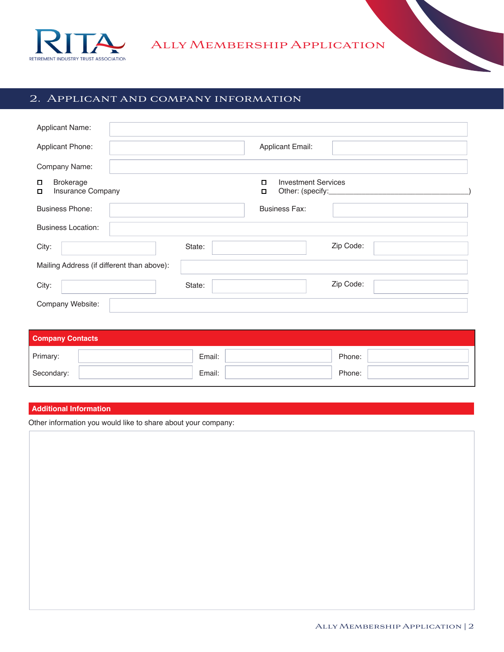

## 2. Applicant and company information

| <b>Applicant Name:</b>                          |                                                                        |
|-------------------------------------------------|------------------------------------------------------------------------|
| Applicant Phone:                                | <b>Applicant Email:</b>                                                |
| Company Name:                                   |                                                                        |
| <b>Brokerage</b><br>П<br>Insurance Company<br>О | <b>Investment Services</b><br>α<br>Other: (specify:______________<br>□ |
| <b>Business Phone:</b>                          | <b>Business Fax:</b>                                                   |
| <b>Business Location:</b>                       |                                                                        |
| City:                                           | Zip Code:<br>State:                                                    |
| Mailing Address (if different than above):      |                                                                        |
| City:                                           | Zip Code:<br>State:                                                    |
| Company Website:                                |                                                                        |

| <b>Company Contacts</b> |        |        |  |  |  |  |  |
|-------------------------|--------|--------|--|--|--|--|--|
| Primary:                | Email: | Phone: |  |  |  |  |  |
| Secondary:              | Email: | Phone: |  |  |  |  |  |

#### **Additional Information**

Other information you would like to share about your company: